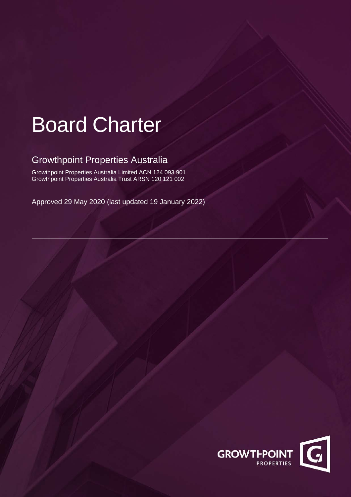# Board Charter

# Growthpoint Properties Australia

Growthpoint Properties Australia Limited ACN 124 093 901 Growthpoint Properties Australia Trust ARSN 120 121 002

Approved 29 May 2020 (last updated 19 January 2022)

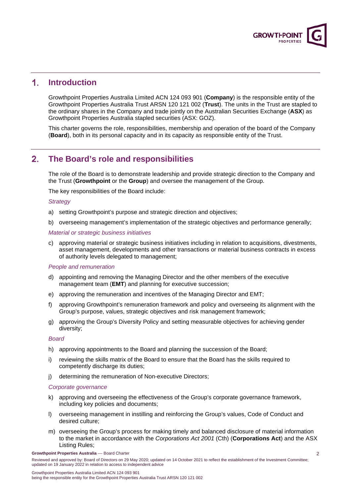

#### $\mathbf{1}$ . **Introduction**

Growthpoint Properties Australia Limited ACN 124 093 901 (**Company**) is the responsible entity of the Growthpoint Properties Australia Trust ARSN 120 121 002 (**Trust**). The units in the Trust are stapled to the ordinary shares in the Company and trade jointly on the Australian Securities Exchange (**ASX**) as Growthpoint Properties Australia stapled securities (ASX: GOZ).

This charter governs the role, responsibilities, membership and operation of the board of the Company (**Board**), both in its personal capacity and in its capacity as responsible entity of the Trust.

#### $2<sub>1</sub>$ **The Board's role and responsibilities**

The role of the Board is to demonstrate leadership and provide strategic direction to the Company and the Trust (**Growthpoint** or the **Group**) and oversee the management of the Group.

The key responsibilities of the Board include:

## *Strategy*

- a) setting Growthpoint's purpose and strategic direction and objectives;
- b) overseeing management's implementation of the strategic objectives and performance generally;

## *Material or strategic business initiatives*

c) approving material or strategic business initiatives including in relation to acquisitions, divestments, asset management, developments and other transactions or material business contracts in excess of authority levels delegated to management;

## *People and remuneration*

- d) appointing and removing the Managing Director and the other members of the executive management team (**EMT**) and planning for executive succession;
- e) approving the remuneration and incentives of the Managing Director and EMT;
- f) approving Growthpoint's remuneration framework and policy and overseeing its alignment with the Group's purpose, values, strategic objectives and risk management framework;
- g) approving the Group's Diversity Policy and setting measurable objectives for achieving gender diversity;

## *Board*

- h) approving appointments to the Board and planning the succession of the Board;
- i) reviewing the skills matrix of the Board to ensure that the Board has the skills required to competently discharge its duties;
- j) determining the remuneration of Non-executive Directors;

### *Corporate governance*

- k) approving and overseeing the effectiveness of the Group's corporate governance framework, including key policies and documents;
- l) overseeing management in instilling and reinforcing the Group's values, Code of Conduct and desired culture;
- m) overseeing the Group's process for making timely and balanced disclosure of material information to the market in accordance with the *Corporations Act 2001* (Cth) (**Corporations Act**) and the ASX Listing Rules;

**Growthpoint Properties Australia** –– Board Charter

Reviewed and approved by: Board of Directors on 29 May 2020; updated on 14 October 2021 to reflect the establishment of the Investment Committee; updated on 19 January 2022 in relation to access to independent advice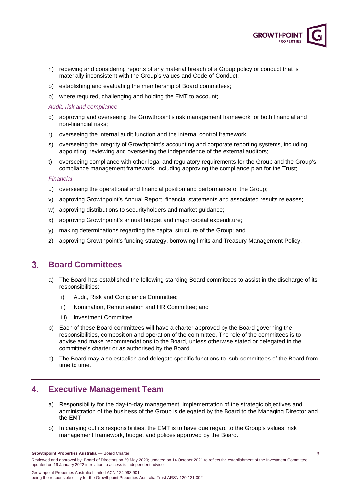

- n) receiving and considering reports of any material breach of a Group policy or conduct that is materially inconsistent with the Group's values and Code of Conduct;
- o) establishing and evaluating the membership of Board committees;
- p) where required, challenging and holding the EMT to account;

*Audit, risk and compliance*

- q) approving and overseeing the Growthpoint's risk management framework for both financial and non-financial risks;
- r) overseeing the internal audit function and the internal control framework;
- s) overseeing the integrity of Growthpoint's accounting and corporate reporting systems, including appointing, reviewing and overseeing the independence of the external auditors;
- t) overseeing compliance with other legal and regulatory requirements for the Group and the Group's compliance management framework, including approving the compliance plan for the Trust;

## *Financial*

- u) overseeing the operational and financial position and performance of the Group;
- v) approving Growthpoint's Annual Report, financial statements and associated results releases;
- w) approving distributions to securityholders and market guidance;
- x) approving Growthpoint's annual budget and major capital expenditure;
- y) making determinations regarding the capital structure of the Group; and
- z) approving Growthpoint's funding strategy, borrowing limits and Treasury Management Policy.

#### $3<sup>1</sup>$ **Board Committees**

- a) The Board has established the following standing Board committees to assist in the discharge of its responsibilities:
	- i) Audit, Risk and Compliance Committee;
	- ii) Nomination, Remuneration and HR Committee; and
	- iii) Investment Committee.
- b) Each of these Board committees will have a charter approved by the Board governing the responsibilities, composition and operation of the committee. The role of the committees is to advise and make recommendations to the Board, unless otherwise stated or delegated in the committee's charter or as authorised by the Board.
- c) The Board may also establish and delegate specific functions to sub-committees of the Board from time to time.

#### 4. **Executive Management Team**

- a) Responsibility for the day-to-day management, implementation of the strategic objectives and administration of the business of the Group is delegated by the Board to the Managing Director and the EMT.
- b) In carrying out its responsibilities, the EMT is to have due regard to the Group's values, risk management framework, budget and polices approved by the Board.

**Growthpoint Properties Australia** –– Board Charter

Reviewed and approved by: Board of Directors on 29 May 2020; updated on 14 October 2021 to reflect the establishment of the Investment Committee; updated on 19 January 2022 in relation to access to independent advice

Growthpoint Properties Australia Limited ACN 124 093 901 being the responsible entity for the Growthpoint Properties Australia Trust ARSN 120 121 002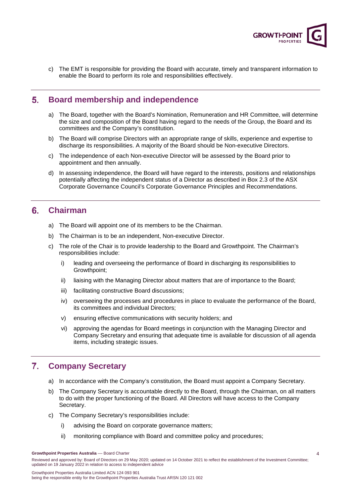

c) The EMT is responsible for providing the Board with accurate, timely and transparent information to enable the Board to perform its role and responsibilities effectively.

#### $5.$ **Board membership and independence**

- a) The Board, together with the Board's Nomination, Remuneration and HR Committee, will determine the size and composition of the Board having regard to the needs of the Group, the Board and its committees and the Company's constitution.
- b) The Board will comprise Directors with an appropriate range of skills, experience and expertise to discharge its responsibilities. A majority of the Board should be Non-executive Directors.
- c) The independence of each Non-executive Director will be assessed by the Board prior to appointment and then annually.
- d) In assessing independence, the Board will have regard to the interests, positions and relationships potentially affecting the independent status of a Director as described in Box 2.3 of the ASX Corporate Governance Council's Corporate Governance Principles and Recommendations.

#### $6.$ **Chairman**

- a) The Board will appoint one of its members to be the Chairman.
- b) The Chairman is to be an independent, Non-executive Director.
- c) The role of the Chair is to provide leadership to the Board and Growthpoint. The Chairman's responsibilities include:
	- i) leading and overseeing the performance of Board in discharging its responsibilities to Growthpoint;
	- ii) liaising with the Managing Director about matters that are of importance to the Board;
	- iii) facilitating constructive Board discussions;
	- iv) overseeing the processes and procedures in place to evaluate the performance of the Board, its committees and individual Directors;
	- v) ensuring effective communications with security holders; and
	- vi) approving the agendas for Board meetings in conjunction with the Managing Director and Company Secretary and ensuring that adequate time is available for discussion of all agenda items, including strategic issues.

#### $7<sub>1</sub>$ **Company Secretary**

- a) In accordance with the Company's constitution, the Board must appoint a Company Secretary.
- b) The Company Secretary is accountable directly to the Board, through the Chairman, on all matters to do with the proper functioning of the Board. All Directors will have access to the Company Secretary.
- c) The Company Secretary's responsibilities include:
	- i) advising the Board on corporate governance matters;
	- ii) monitoring compliance with Board and committee policy and procedures;

**Growthpoint Properties Australia** –– Board Charter

Reviewed and approved by: Board of Directors on 29 May 2020; updated on 14 October 2021 to reflect the establishment of the Investment Committee; updated on 19 January 2022 in relation to access to independent advice

Growthpoint Properties Australia Limited ACN 124 093 901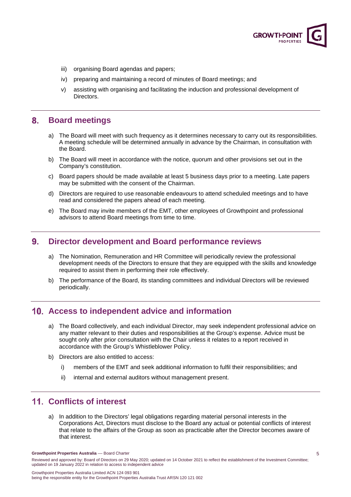

- iii) organising Board agendas and papers;
- iv) preparing and maintaining a record of minutes of Board meetings; and
- v) assisting with organising and facilitating the induction and professional development of Directors.

#### $8.$ **Board meetings**

- a) The Board will meet with such frequency as it determines necessary to carry out its responsibilities. A meeting schedule will be determined annually in advance by the Chairman, in consultation with the Board.
- b) The Board will meet in accordance with the notice, quorum and other provisions set out in the Company's constitution.
- c) Board papers should be made available at least 5 business days prior to a meeting. Late papers may be submitted with the consent of the Chairman.
- d) Directors are required to use reasonable endeavours to attend scheduled meetings and to have read and considered the papers ahead of each meeting.
- e) The Board may invite members of the EMT, other employees of Growthpoint and professional advisors to attend Board meetings from time to time.

#### 9. **Director development and Board performance reviews**

- a) The Nomination, Remuneration and HR Committee will periodically review the professional development needs of the Directors to ensure that they are equipped with the skills and knowledge required to assist them in performing their role effectively.
- b) The performance of the Board, its standing committees and individual Directors will be reviewed periodically.

# **Access to independent advice and information**

- a) The Board collectively, and each individual Director, may seek independent professional advice on any matter relevant to their duties and responsibilities at the Group's expense. Advice must be sought only after prior consultation with the Chair unless it relates to a report received in accordance with the Group's Whistleblower Policy.
- b) Directors are also entitled to access:
	- i) members of the EMT and seek additional information to fulfil their responsibilities; and
	- ii) internal and external auditors without management present.

# **Conflicts of interest**

a) In addition to the Directors' legal obligations regarding material personal interests in the Corporations Act, Directors must disclose to the Board any actual or potential conflicts of interest that relate to the affairs of the Group as soon as practicable after the Director becomes aware of that interest.

**Growthpoint Properties Australia** –– Board Charter

Reviewed and approved by: Board of Directors on 29 May 2020; updated on 14 October 2021 to reflect the establishment of the Investment Committee; updated on 19 January 2022 in relation to access to independent advice

Growthpoint Properties Australia Limited ACN 124 093 901 being the responsible entity for the Growthpoint Properties Australia Trust ARSN 120 121 002